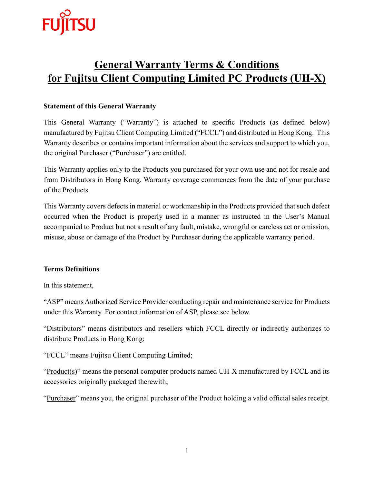

# **General Warranty Terms & Conditions for Fujitsu Client Computing Limited PC Products (UH-X)**

# **Statement of this General Warranty**

This General Warranty ("Warranty") is attached to specific Products (as defined below) manufactured by Fujitsu Client Computing Limited ("FCCL") and distributed in Hong Kong. This Warranty describes or contains important information about the services and support to which you, the original Purchaser ("Purchaser") are entitled.

This Warranty applies only to the Products you purchased for your own use and not for resale and from Distributors in Hong Kong. Warranty coverage commences from the date of your purchase of the Products.

This Warranty covers defects in material or workmanship in the Products provided that such defect occurred when the Product is properly used in a manner as instructed in the User's Manual accompanied to Product but not a result of any fault, mistake, wrongful or careless act or omission, misuse, abuse or damage of the Product by Purchaser during the applicable warranty period.

# **Terms Definitions**

In this statement,

"ASP" means Authorized Service Provider conducting repair and maintenance service for Products under this Warranty. For contact information of ASP, please see below.

"Distributors" means distributors and resellers which FCCL directly or indirectly authorizes to distribute Products in Hong Kong;

"FCCL" means Fujitsu Client Computing Limited;

"Product(s)" means the personal computer products named UH-X manufactured by FCCL and its accessories originally packaged therewith;

"Purchaser" means you, the original purchaser of the Product holding a valid official sales receipt.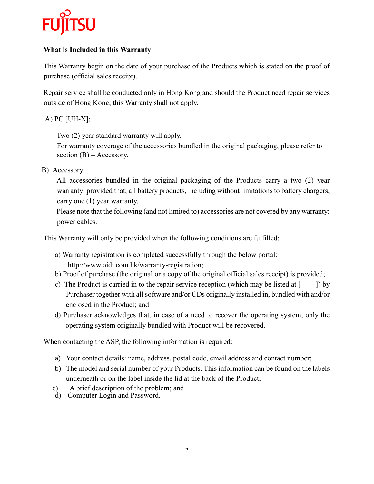

# **What is Included in this Warranty**

This Warranty begin on the date of your purchase of the Products which is stated on the proof of purchase (official sales receipt).

Repair service shall be conducted only in Hong Kong and should the Product need repair services outside of Hong Kong, this Warranty shall not apply.

# $A)$  PC [UH-X]:

Two (2) year standard warranty will apply.

For warranty coverage of the accessories bundled in the original packaging, please refer to section  $(B)$  – Accessory.

B) Accessory

All accessories bundled in the original packaging of the Products carry a two (2) year warranty; provided that, all battery products, including without limitations to battery chargers, carry one (1) year warranty.

Please note that the following (and not limited to) accessories are not covered by any warranty: power cables.

This Warranty will only be provided when the following conditions are fulfilled:

- a) Warranty registration is completed successfully through the below portal: http://www.oidi.com.hk/warranty-registration;
- b) Proof of purchase (the original or a copy of the original official sales receipt) is provided;
- c) The Product is carried in to the repair service reception (which may be listed at [ ]) by Purchaser together with all software and/or CDs originally installed in, bundled with and/or enclosed in the Product; and
- d) Purchaser acknowledges that, in case of a need to recover the operating system, only the operating system originally bundled with Product will be recovered.

When contacting the ASP, the following information is required:

- a) Your contact details: name, address, postal code, email address and contact number;
- b) The model and serial number of your Products. This information can be found on the labels underneath or on the label inside the lid at the back of the Product;
- c) A brief description of the problem; and
- d) Computer Login and Password.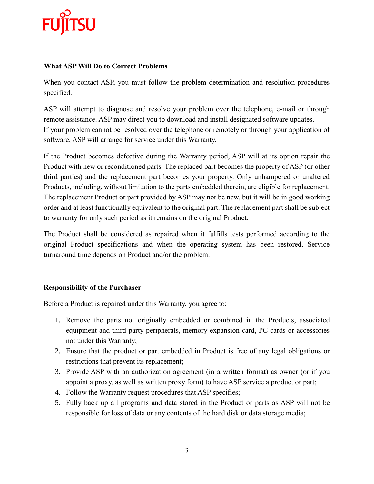

#### **What ASP Will Do to Correct Problems**

When you contact ASP, you must follow the problem determination and resolution procedures specified.

ASP will attempt to diagnose and resolve your problem over the telephone, e-mail or through remote assistance. ASP may direct you to download and install designated software updates. If your problem cannot be resolved over the telephone or remotely or through your application of software, ASP will arrange for service under this Warranty.

If the Product becomes defective during the Warranty period, ASP will at its option repair the Product with new or reconditioned parts. The replaced part becomes the property of ASP (or other third parties) and the replacement part becomes your property. Only unhampered or unaltered Products, including, without limitation to the parts embedded therein, are eligible for replacement. The replacement Product or part provided by ASP may not be new, but it will be in good working order and at least functionally equivalent to the original part. The replacement part shall be subject to warranty for only such period as it remains on the original Product.

The Product shall be considered as repaired when it fulfills tests performed according to the original Product specifications and when the operating system has been restored. Service turnaround time depends on Product and/or the problem.

# **Responsibility of the Purchaser**

Before a Product is repaired under this Warranty, you agree to:

- 1. Remove the parts not originally embedded or combined in the Products, associated equipment and third party peripherals, memory expansion card, PC cards or accessories not under this Warranty;
- 2. Ensure that the product or part embedded in Product is free of any legal obligations or restrictions that prevent its replacement;
- 3. Provide ASP with an authorization agreement (in a written format) as owner (or if you appoint a proxy, as well as written proxy form) to have ASP service a product or part;
- 4. Follow the Warranty request procedures that ASP specifies;
- 5. Fully back up all programs and data stored in the Product or parts as ASP will not be responsible for loss of data or any contents of the hard disk or data storage media;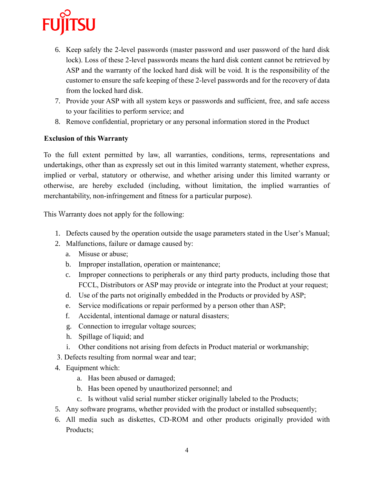

- 6. Keep safely the 2-level passwords (master password and user password of the hard disk lock). Loss of these 2-level passwords means the hard disk content cannot be retrieved by ASP and the warranty of the locked hard disk will be void. It is the responsibility of the customer to ensure the safe keeping of these 2-level passwords and for the recovery of data from the locked hard disk.
- 7. Provide your ASP with all system keys or passwords and sufficient, free, and safe access to your facilities to perform service; and
- 8. Remove confidential, proprietary or any personal information stored in the Product

### **Exclusion of this Warranty**

To the full extent permitted by law, all warranties, conditions, terms, representations and undertakings, other than as expressly set out in this limited warranty statement, whether express, implied or verbal, statutory or otherwise, and whether arising under this limited warranty or otherwise, are hereby excluded (including, without limitation, the implied warranties of merchantability, non-infringement and fitness for a particular purpose).

This Warranty does not apply for the following:

- 1. Defects caused by the operation outside the usage parameters stated in the User's Manual;
- 2. Malfunctions, failure or damage caused by:
	- a. Misuse or abuse;
	- b. Improper installation, operation or maintenance;
	- c. Improper connections to peripherals or any third party products, including those that FCCL, Distributors or ASP may provide or integrate into the Product at your request;
	- d. Use of the parts not originally embedded in the Products or provided by ASP;
	- e. Service modifications or repair performed by a person other than ASP;
	- f. Accidental, intentional damage or natural disasters;
	- g. Connection to irregular voltage sources;
	- h. Spillage of liquid; and
	- i. Other conditions not arising from defects in Product material or workmanship;
- 3. Defects resulting from normal wear and tear;
- 4. Equipment which:
	- a. Has been abused or damaged;
	- b. Has been opened by unauthorized personnel; and
	- c. Is without valid serial number sticker originally labeled to the Products;
- 5. Any software programs, whether provided with the product or installed subsequently;
- 6. All media such as diskettes, CD-ROM and other products originally provided with Products;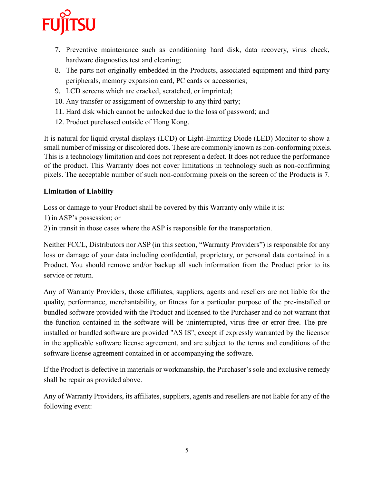

- 7. Preventive maintenance such as conditioning hard disk, data recovery, virus check, hardware diagnostics test and cleaning;
- 8. The parts not originally embedded in the Products, associated equipment and third party peripherals, memory expansion card, PC cards or accessories;
- 9. LCD screens which are cracked, scratched, or imprinted;
- 10. Any transfer or assignment of ownership to any third party;
- 11. Hard disk which cannot be unlocked due to the loss of password; and
- 12. Product purchased outside of Hong Kong.

It is natural for liquid crystal displays (LCD) or Light-Emitting Diode (LED) Monitor to show a small number of missing or discolored dots. These are commonly known as non-conforming pixels. This is a technology limitation and does not represent a defect. It does not reduce the performance of the product. This Warranty does not cover limitations in technology such as non-confirming pixels. The acceptable number of such non-conforming pixels on the screen of the Products is 7.

#### **Limitation of Liability**

Loss or damage to your Product shall be covered by this Warranty only while it is:

1) in ASP's possession; or

2) in transit in those cases where the ASP is responsible for the transportation.

Neither FCCL, Distributors nor ASP (in this section, "Warranty Providers") is responsible for any loss or damage of your data including confidential, proprietary, or personal data contained in a Product. You should remove and/or backup all such information from the Product prior to its service or return.

Any of Warranty Providers, those affiliates, suppliers, agents and resellers are not liable for the quality, performance, merchantability, or fitness for a particular purpose of the pre-installed or bundled software provided with the Product and licensed to the Purchaser and do not warrant that the function contained in the software will be uninterrupted, virus free or error free. The preinstalled or bundled software are provided "AS IS", except if expressly warranted by the licensor in the applicable software license agreement, and are subject to the terms and conditions of the software license agreement contained in or accompanying the software.

If the Product is defective in materials or workmanship, the Purchaser's sole and exclusive remedy shall be repair as provided above.

Any of Warranty Providers, its affiliates, suppliers, agents and resellers are not liable for any of the following event: